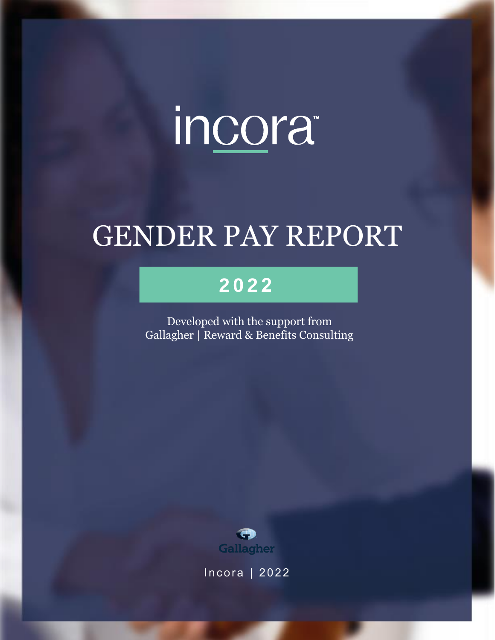# incora<sup>®</sup>

## GENDER PAY REPORT

### **2 0 2 2**

Developed with the support from Gallagher | Reward & Benefits Consulting



Incora | 2022

Gender Pay Report | 1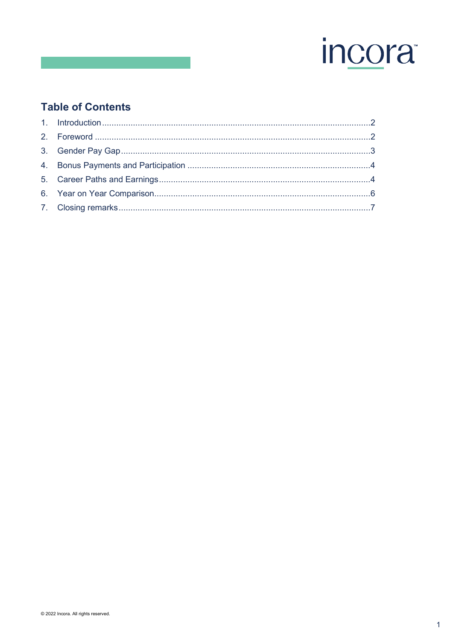

#### **Table of Contents**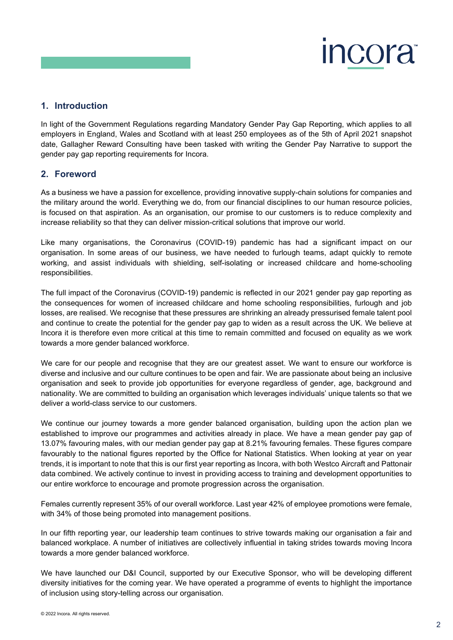

#### <span id="page-2-0"></span>**1. Introduction**

In light of the Government Regulations regarding Mandatory Gender Pay Gap Reporting, which applies to all employers in England, Wales and Scotland with at least 250 employees as of the 5th of April 2021 snapshot date, Gallagher Reward Consulting have been tasked with writing the Gender Pay Narrative to support the gender pay gap reporting requirements for Incora.

#### <span id="page-2-1"></span>**2. Foreword**

As a business we have a passion for excellence, providing innovative supply-chain solutions for companies and the military around the world. Everything we do, from our financial disciplines to our human resource policies, is focused on that aspiration. As an organisation, our promise to our customers is to reduce complexity and increase reliability so that they can deliver mission-critical solutions that improve our world.

Like many organisations, the Coronavirus (COVID-19) pandemic has had a significant impact on our organisation. In some areas of our business, we have needed to furlough teams, adapt quickly to remote working, and assist individuals with shielding, self-isolating or increased childcare and home-schooling responsibilities.

The full impact of the Coronavirus (COVID-19) pandemic is reflected in our 2021 gender pay gap reporting as the consequences for women of increased childcare and home schooling responsibilities, furlough and job losses, are realised. We recognise that these pressures are shrinking an already pressurised female talent pool and continue to create the potential for the gender pay gap to widen as a result across the UK. We believe at Incora it is therefore even more critical at this time to remain committed and focused on equality as we work towards a more gender balanced workforce.

We care for our people and recognise that they are our greatest asset. We want to ensure our workforce is diverse and inclusive and our culture continues to be open and fair. We are passionate about being an inclusive organisation and seek to provide job opportunities for everyone regardless of gender, age, background and nationality. We are committed to building an organisation which leverages individuals' unique talents so that we deliver a world-class service to our customers.

We continue our journey towards a more gender balanced organisation, building upon the action plan we established to improve our programmes and activities already in place. We have a mean gender pay gap of 13.07% favouring males, with our median gender pay gap at 8.21% favouring females. These figures compare favourably to the national figures reported by the Office for National Statistics. When looking at year on year trends, it is important to note that this is our first year reporting as Incora, with both Westco Aircraft and Pattonair data combined. We actively continue to invest in providing access to training and development opportunities to our entire workforce to encourage and promote progression across the organisation.

Females currently represent 35% of our overall workforce. Last year 42% of employee promotions were female, with 34% of those being promoted into management positions.

In our fifth reporting year, our leadership team continues to strive towards making our organisation a fair and balanced workplace. A number of initiatives are collectively influential in taking strides towards moving Incora towards a more gender balanced workforce.

We have launched our D&I Council, supported by our Executive Sponsor, who will be developing different diversity initiatives for the coming year. We have operated a programme of events to highlight the importance of inclusion using story-telling across our organisation.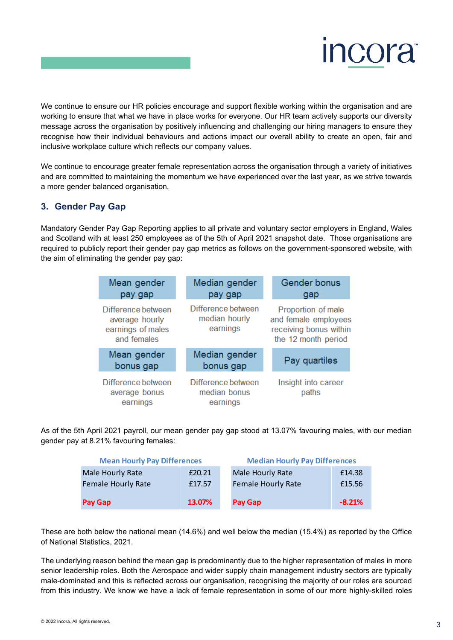

We continue to ensure our HR policies encourage and support flexible working within the organisation and are working to ensure that what we have in place works for everyone. Our HR team actively supports our diversity message across the organisation by positively influencing and challenging our hiring managers to ensure they recognise how their individual behaviours and actions impact our overall ability to create an open, fair and inclusive workplace culture which reflects our company values.

We continue to encourage greater female representation across the organisation through a variety of initiatives and are committed to maintaining the momentum we have experienced over the last year, as we strive towards a more gender balanced organisation.

#### <span id="page-3-0"></span>**3. Gender Pay Gap**

Mandatory Gender Pay Gap Reporting applies to all private and voluntary sector employers in England, Wales and Scotland with at least 250 employees as of the 5th of April 2021 snapshot date. Those organisations are required to publicly report their gender pay gap metrics as follows on the government-sponsored website, with the aim of eliminating the gender pay gap:

| Mean gender<br>pay gap                                                   | Median gender<br>pay gap                        | <b>Gender bonus</b><br>gap                                                                  |  |  |
|--------------------------------------------------------------------------|-------------------------------------------------|---------------------------------------------------------------------------------------------|--|--|
| Difference between<br>average hourly<br>earnings of males<br>and females | Difference between<br>median hourly<br>earnings | Proportion of male<br>and female employees<br>receiving bonus within<br>the 12 month period |  |  |
| Mean gender<br>bonus gap                                                 | Median gender<br>bonus gap                      | Pay quartiles                                                                               |  |  |
| Difference between<br>average bonus<br>earnings                          | Difference between<br>median bonus<br>earnings  | Insight into career<br>paths                                                                |  |  |

As of the 5th April 2021 payroll, our mean gender pay gap stood at 13.07% favouring males, with our median gender pay at 8.21% favouring females:

| <b>Mean Hourly Pay Differences</b> |        | <b>Median Hourly Pay Differences</b> |          |  |  |
|------------------------------------|--------|--------------------------------------|----------|--|--|
| Male Hourly Rate                   | £20.21 | Male Hourly Rate                     | £14.38   |  |  |
| <b>Female Hourly Rate</b>          | £17.57 | <b>Female Hourly Rate</b>            | £15.56   |  |  |
| Pay Gap                            | 13.07% | Pay Gap                              | $-8.21%$ |  |  |

These are both below the national mean (14.6%) and well below the median (15.4%) as reported by the Office of National Statistics, 2021.

The underlying reason behind the mean gap is predominantly due to the higher representation of males in more senior leadership roles. Both the Aerospace and wider supply chain management industry sectors are typically male-dominated and this is reflected across our organisation, recognising the majority of our roles are sourced from this industry. We know we have a lack of female representation in some of our more highly-skilled roles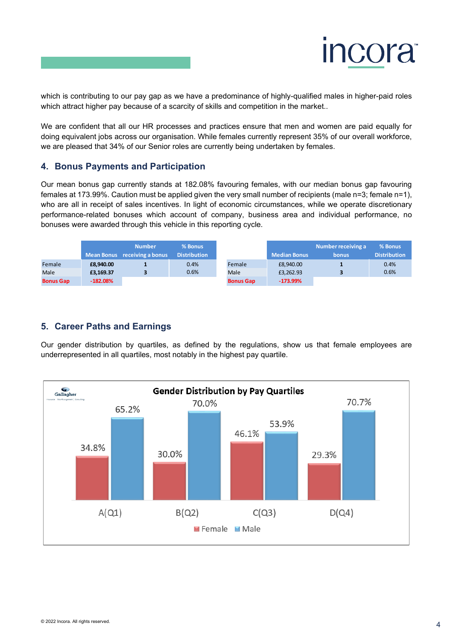

which is contributing to our pay gap as we have a predominance of highly-qualified males in higher-paid roles which attract higher pay because of a scarcity of skills and competition in the market..

We are confident that all our HR processes and practices ensure that men and women are paid equally for doing equivalent jobs across our organisation. While females currently represent 35% of our overall workforce, we are pleased that 34% of our Senior roles are currently being undertaken by females.

#### <span id="page-4-0"></span>**4. Bonus Payments and Participation**

Our mean bonus gap currently stands at 182.08% favouring females, with our median bonus gap favouring females at 173.99%. Caution must be applied given the very small number of recipients (male n=3; female n=1), who are all in receipt of sales incentives. In light of economic circumstances, while we operate discretionary performance-related bonuses which account of company, business area and individual performance, no bonuses were awarded through this vehicle in this reporting cycle.

|                  |            | <b>Number</b><br>Mean Bonus receiving a bonus | % Bonus<br><b>Distribution</b> |                  | <b>Median Bonus</b> | Number receiving a<br><b>bonus</b> | % Bonus<br><b>Distribution</b> |
|------------------|------------|-----------------------------------------------|--------------------------------|------------------|---------------------|------------------------------------|--------------------------------|
| Female           | £8.940.00  |                                               | 0.4%                           | Female           | £8.940.00           |                                    | 0.4%                           |
| Male             | £3.169.37  |                                               | 0.6%                           | Male             | £3,262.93           |                                    | 0.6%                           |
| <b>Bonus Gap</b> | $-182.08%$ |                                               |                                | <b>Bonus Gap</b> | $-173.99%$          |                                    |                                |

#### <span id="page-4-1"></span>**5. Career Paths and Earnings**

Our gender distribution by quartiles, as defined by the regulations, show us that female employees are underrepresented in all quartiles, most notably in the highest pay quartile.

![](_page_4_Figure_8.jpeg)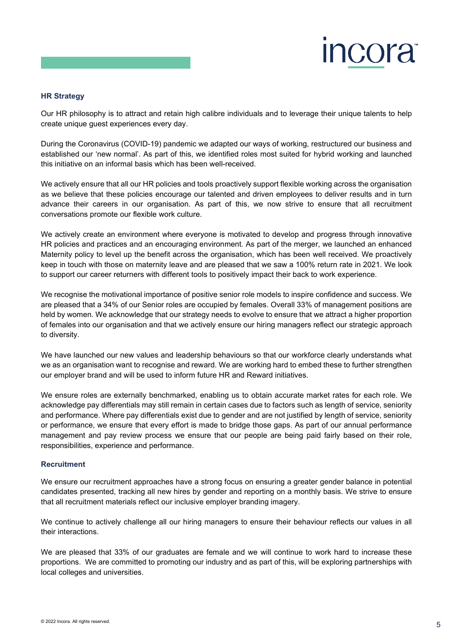![](_page_5_Picture_0.jpeg)

#### **HR Strategy**

Our HR philosophy is to attract and retain high calibre individuals and to leverage their unique talents to help create unique guest experiences every day.

During the Coronavirus (COVID-19) pandemic we adapted our ways of working, restructured our business and established our 'new normal'. As part of this, we identified roles most suited for hybrid working and launched this initiative on an informal basis which has been well-received.

We actively ensure that all our HR policies and tools proactively support flexible working across the organisation as we believe that these policies encourage our talented and driven employees to deliver results and in turn advance their careers in our organisation. As part of this, we now strive to ensure that all recruitment conversations promote our flexible work culture.

We actively create an environment where everyone is motivated to develop and progress through innovative HR policies and practices and an encouraging environment. As part of the merger, we launched an enhanced Maternity policy to level up the benefit across the organisation, which has been well received. We proactively keep in touch with those on maternity leave and are pleased that we saw a 100% return rate in 2021. We look to support our career returners with different tools to positively impact their back to work experience.

We recognise the motivational importance of positive senior role models to inspire confidence and success. We are pleased that a 34% of our Senior roles are occupied by females. Overall 33% of management positions are held by women. We acknowledge that our strategy needs to evolve to ensure that we attract a higher proportion of females into our organisation and that we actively ensure our hiring managers reflect our strategic approach to diversity.

We have launched our new values and leadership behaviours so that our workforce clearly understands what we as an organisation want to recognise and reward. We are working hard to embed these to further strengthen our employer brand and will be used to inform future HR and Reward initiatives.

We ensure roles are externally benchmarked, enabling us to obtain accurate market rates for each role. We acknowledge pay differentials may still remain in certain cases due to factors such as length of service, seniority and performance. Where pay differentials exist due to gender and are not justified by length of service, seniority or performance, we ensure that every effort is made to bridge those gaps. As part of our annual performance management and pay review process we ensure that our people are being paid fairly based on their role, responsibilities, experience and performance.

#### **Recruitment**

We ensure our recruitment approaches have a strong focus on ensuring a greater gender balance in potential candidates presented, tracking all new hires by gender and reporting on a monthly basis. We strive to ensure that all recruitment materials reflect our inclusive employer branding imagery.

We continue to actively challenge all our hiring managers to ensure their behaviour reflects our values in all their interactions.

We are pleased that 33% of our graduates are female and we will continue to work hard to increase these proportions. We are committed to promoting our industry and as part of this, will be exploring partnerships with local colleges and universities.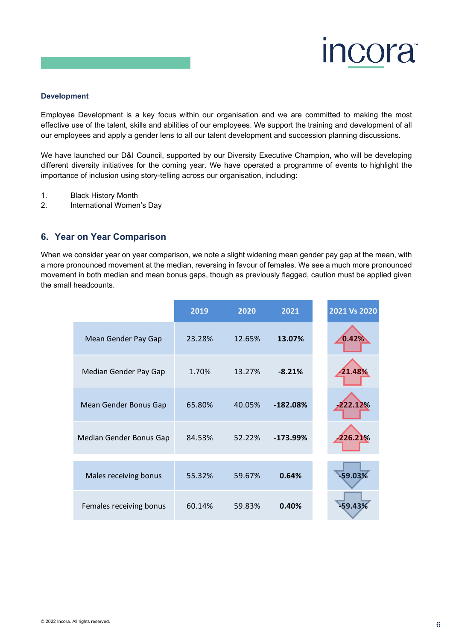![](_page_6_Picture_0.jpeg)

#### **Development**

Employee Development is a key focus within our organisation and we are committed to making the most effective use of the talent, skills and abilities of our employees. We support the training and development of all our employees and apply a gender lens to all our talent development and succession planning discussions.

We have launched our D&I Council, supported by our Diversity Executive Champion, who will be developing different diversity initiatives for the coming year. We have operated a programme of events to highlight the importance of inclusion using story-telling across our organisation, including:

- 1. Black History Month
- 2. International Women's Day

#### <span id="page-6-0"></span>**6. Year on Year Comparison**

When we consider year on year comparison, we note a slight widening mean gender pay gap at the mean, with a more pronounced movement at the median, reversing in favour of females. We see a much more pronounced movement in both median and mean bonus gaps, though as previously flagged, caution must be applied given the small headcounts.

|                         | 2019   | 2020   | 2021       | 2021 Vs 2020 |
|-------------------------|--------|--------|------------|--------------|
| Mean Gender Pay Gap     | 23.28% | 12.65% | 13.07%     | 0.42%        |
| Median Gender Pay Gap   | 1.70%  | 13.27% | $-8.21%$   | 21.48%       |
| Mean Gender Bonus Gap   | 65.80% | 40.05% | $-182.08%$ | 222.12%      |
| Median Gender Bonus Gap | 84.53% | 52.22% | $-173.99%$ | $-226.21%$   |
| Males receiving bonus   | 55.32% | 59.67% | 0.64%      | -59.03%      |
| Females receiving bonus | 60.14% | 59.83% | 0.40%      | -59.43%      |